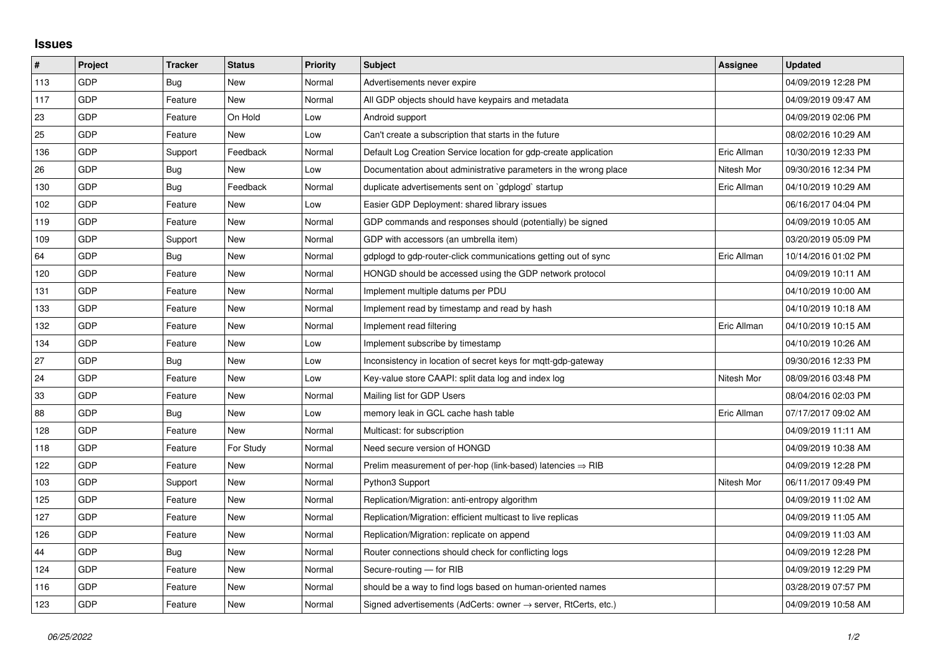## **Issues**

| $\sharp$ | Project    | <b>Tracker</b> | <b>Status</b> | <b>Priority</b> | <b>Subject</b>                                                             | Assignee    | <b>Updated</b>      |
|----------|------------|----------------|---------------|-----------------|----------------------------------------------------------------------------|-------------|---------------------|
| 113      | <b>GDP</b> | Bug            | <b>New</b>    | Normal          | Advertisements never expire                                                |             | 04/09/2019 12:28 PM |
| 117      | <b>GDP</b> | Feature        | <b>New</b>    | Normal          | All GDP objects should have keypairs and metadata                          |             | 04/09/2019 09:47 AM |
| 23       | <b>GDP</b> | Feature        | On Hold       | Low             | Android support                                                            |             | 04/09/2019 02:06 PM |
| 25       | GDP        | Feature        | <b>New</b>    | Low             | Can't create a subscription that starts in the future                      |             | 08/02/2016 10:29 AM |
| 136      | <b>GDP</b> | Support        | Feedback      | Normal          | Default Log Creation Service location for gdp-create application           | Eric Allman | 10/30/2019 12:33 PM |
| 26       | <b>GDP</b> | Bug            | <b>New</b>    | Low             | Documentation about administrative parameters in the wrong place           | Nitesh Mor  | 09/30/2016 12:34 PM |
| 130      | GDP        | Bug            | Feedback      | Normal          | duplicate advertisements sent on `gdplogd` startup                         | Eric Allman | 04/10/2019 10:29 AM |
| 102      | <b>GDP</b> | Feature        | <b>New</b>    | Low             | Easier GDP Deployment: shared library issues                               |             | 06/16/2017 04:04 PM |
| 119      | <b>GDP</b> | Feature        | <b>New</b>    | Normal          | GDP commands and responses should (potentially) be signed                  |             | 04/09/2019 10:05 AM |
| 109      | GDP        | Support        | <b>New</b>    | Normal          | GDP with accessors (an umbrella item)                                      |             | 03/20/2019 05:09 PM |
| 64       | <b>GDP</b> | Bug            | <b>New</b>    | Normal          | gdplogd to gdp-router-click communications getting out of sync             | Eric Allman | 10/14/2016 01:02 PM |
| 120      | <b>GDP</b> | Feature        | <b>New</b>    | Normal          | HONGD should be accessed using the GDP network protocol                    |             | 04/09/2019 10:11 AM |
| 131      | GDP        | Feature        | <b>New</b>    | Normal          | Implement multiple datums per PDU                                          |             | 04/10/2019 10:00 AM |
| 133      | <b>GDP</b> | Feature        | <b>New</b>    | Normal          | Implement read by timestamp and read by hash                               |             | 04/10/2019 10:18 AM |
| 132      | <b>GDP</b> | Feature        | <b>New</b>    | Normal          | Implement read filtering                                                   | Eric Allman | 04/10/2019 10:15 AM |
| 134      | GDP        | Feature        | <b>New</b>    | Low             | Implement subscribe by timestamp                                           |             | 04/10/2019 10:26 AM |
| 27       | <b>GDP</b> | Bug            | <b>New</b>    | Low             | Inconsistency in location of secret keys for mgtt-gdp-gateway              |             | 09/30/2016 12:33 PM |
| 24       | <b>GDP</b> | Feature        | <b>New</b>    | Low             | Key-value store CAAPI: split data log and index log                        | Nitesh Mor  | 08/09/2016 03:48 PM |
| 33       | GDP        | Feature        | <b>New</b>    | Normal          | Mailing list for GDP Users                                                 |             | 08/04/2016 02:03 PM |
| 88       | GDP        | Bug            | <b>New</b>    | Low             | memory leak in GCL cache hash table                                        | Eric Allman | 07/17/2017 09:02 AM |
| 128      | <b>GDP</b> | Feature        | <b>New</b>    | Normal          | Multicast: for subscription                                                |             | 04/09/2019 11:11 AM |
| 118      | <b>GDP</b> | Feature        | For Study     | Normal          | Need secure version of HONGD                                               |             | 04/09/2019 10:38 AM |
| 122      | GDP        | Feature        | <b>New</b>    | Normal          | Prelim measurement of per-hop (link-based) latencies $\Rightarrow$ RIB     |             | 04/09/2019 12:28 PM |
| 103      | <b>GDP</b> | Support        | <b>New</b>    | Normal          | Python3 Support                                                            | Nitesh Mor  | 06/11/2017 09:49 PM |
| 125      | <b>GDP</b> | Feature        | <b>New</b>    | Normal          | Replication/Migration: anti-entropy algorithm                              |             | 04/09/2019 11:02 AM |
| 127      | <b>GDP</b> | Feature        | <b>New</b>    | Normal          | Replication/Migration: efficient multicast to live replicas                |             | 04/09/2019 11:05 AM |
| 126      | <b>GDP</b> | Feature        | <b>New</b>    | Normal          | Replication/Migration: replicate on append                                 |             | 04/09/2019 11:03 AM |
| 44       | <b>GDP</b> | Bug            | <b>New</b>    | Normal          | Router connections should check for conflicting logs                       |             | 04/09/2019 12:28 PM |
| 124      | GDP        | Feature        | <b>New</b>    | Normal          | Secure-routing - for RIB                                                   |             | 04/09/2019 12:29 PM |
| 116      | <b>GDP</b> | Feature        | <b>New</b>    | Normal          | should be a way to find logs based on human-oriented names                 |             | 03/28/2019 07:57 PM |
| 123      | GDP        | Feature        | <b>New</b>    | Normal          | Signed advertisements (AdCerts: owner $\rightarrow$ server, RtCerts, etc.) |             | 04/09/2019 10:58 AM |